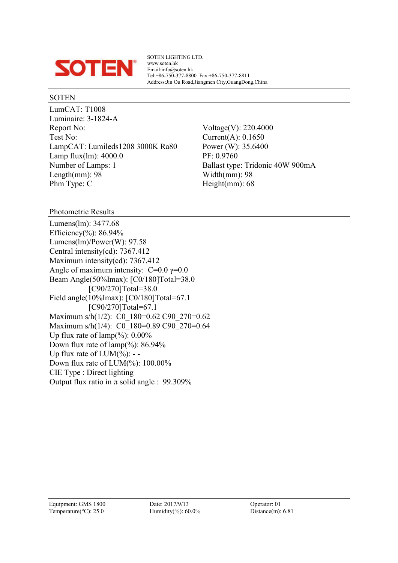

SOTEN LIGHTING LTD. www.soten.hk Email:info@soten.hk Tel:+86-750-377-8800 Fax:+86-750-377-8811 Address:Jin Ou Road,Jiangmen City,GuangDong,China

#### SOTEN

LumCAT: T1008 Luminaire: 3-1824-A Report No: Voltage(V): 220.4000 Test No: Current(A): 0.1650 LampCAT: Lumileds1208 3000K Ra80 Power (W): 35.6400 Lamp flux(lm): 4000.0 PF: 0.9760<br>Number of Lamps: 1 Ballast type Length(mm):  $98$  Width(mm):  $98$ Phm Type: C Height(mm): 68

Ballast type: Tridonic 40W 900mA

Photometric Results

Lumens(lm): 3477.68 Efficiency(%):  $86.94%$ Lumens(lm)/Power(W): 97.58 Central intensity(cd): 7367.412 Maximum intensity(cd): 7367.412 Angle of maximum intensity:  $C=0.0$   $\gamma=0.0$ Beam Angle(50%Imax): [C0/180]Total=38.0 [C90/270]Total=38.0 Field angle(10%Imax): [C0/180]Total=67.1 [C90/270]Total=67.1 Maximum s/h(1/2): C0\_180=0.62 C90\_270=0.62 Maximum s/h(1/4): C0\_180=0.89 C90\_270=0.64 Up flux rate of  $\text{lamp}(\%): 0.00\%$ Down flux rate of  $\text{lamp}(\%): 86.94\%$ Up flux rate of  $LUM(\%)$ : --Down flux rate of LUM(%): 100.00% CIE Type : Direct lighting Output flux ratio in  $\pi$  solid angle : 99.309%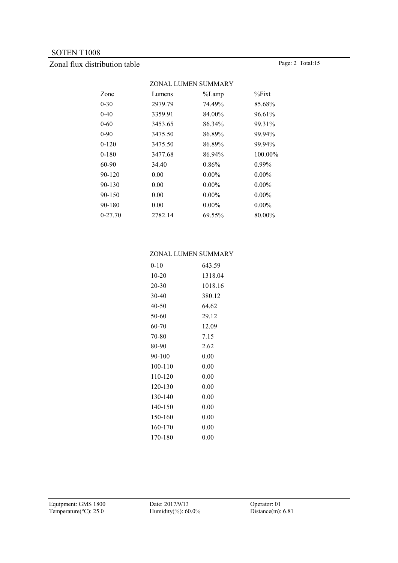# Zonal flux distribution table Page: 2 Total:15

|           |         | ZONAL LUMEN SUMMARY |            |
|-----------|---------|---------------------|------------|
| Zone      | Lumens  | %Lamp               | $\%$ Fixt  |
| 0-30      | 2979.79 | 74.49%              | 85.68%     |
| $0 - 40$  | 3359.91 | 84.00%              | 96.61%     |
| 0-60      | 3453.65 | 86.34%              | 99.31%     |
| $0-90$    | 3475.50 | 86.89%              | 99.94%     |
| $0 - 120$ | 3475.50 | 86.89%              | 99.94%     |
| $0 - 180$ | 3477.68 | 86.94%              | $100.00\%$ |
| 60-90     | 34.40   | 0.86%               | $0.99\%$   |
| 90-120    | 0.00    | $0.00\%$            | $0.00\%$   |
| 90-130    | 0.00    | $0.00\%$            | $0.00\%$   |
| 90-150    | 0.00    | $0.00\%$            | $0.00\%$   |
| 90-180    | 0.00    | $0.00\%$            | $0.00\%$   |
| 0-27.70   | 2782.14 | 69.55%              | 80.00%     |
|           |         |                     |            |

#### ZONAL LUMEN SUMMARY

| $0 - 10$ | 643.59   |
|----------|----------|
| 10-20    | 1318.04  |
| 20-30    | 1018.16  |
| 30-40    | 380.12   |
| 40-50    | 64.62    |
| 50-60    | 29.12    |
| 60-70    | 12.09    |
| 70-80    | 7.15     |
| 80-90    | 2.62     |
| 90-100   | 0.00     |
| 100-110  | 0.00     |
| 110-120  | 0.00     |
| 120-130  | 0.00     |
| 130-140  | 0.00     |
| 140-150  | 0.00     |
| 150-160  | 0.00     |
| 160-170  | 0.00     |
| 170-180  | $0.00\,$ |
|          |          |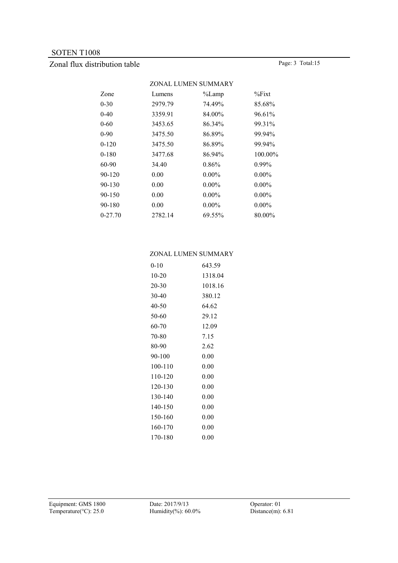# Zonal flux distribution table Page: 3 Total:15

|           |         | ZONAL LUMEN SUMMARY |           |
|-----------|---------|---------------------|-----------|
| Zone      | Lumens  | $\%$ Lamp           | $\%$ Fixt |
| 0-30      | 2979.79 | 74.49%              | 85.68%    |
| $0 - 40$  | 3359.91 | 84.00%              | 96.61%    |
| 0-60      | 3453.65 | 86.34%              | 99.31%    |
| $0-90$    | 3475.50 | 86.89%              | 99.94%    |
| $0 - 120$ | 3475.50 | 86.89%              | 99.94%    |
| $0 - 180$ | 3477.68 | 86.94%              | 100.00%   |
| 60-90     | 34.40   | 0.86%               | $0.99\%$  |
| 90-120    | 0.00    | $0.00\%$            | $0.00\%$  |
| 90-130    | 0.00    | $0.00\%$            | $0.00\%$  |
| 90-150    | 0.00    | $0.00\%$            | $0.00\%$  |
| 90-180    | 0.00    | $0.00\%$            | $0.00\%$  |
| 0-27.70   | 2782.14 | 69.55%              | 80.00%    |
|           |         |                     |           |

#### ZONAL LUMEN SUMMARY

| $0 - 10$ | 643.59   |
|----------|----------|
| 10-20    | 1318.04  |
| 20-30    | 1018.16  |
| 30-40    | 380.12   |
| 40-50    | 64.62    |
| 50-60    | 29.12    |
| 60-70    | 12.09    |
| 70-80    | 7.15     |
| 80-90    | 2.62     |
| 90-100   | 0.00     |
| 100-110  | 0.00     |
| 110-120  | 0.00     |
| 120-130  | 0.00     |
| 130-140  | 0.00     |
| 140-150  | 0.00     |
| 150-160  | 0.00     |
| 160-170  | 0.00     |
| 170-180  | $0.00\,$ |
|          |          |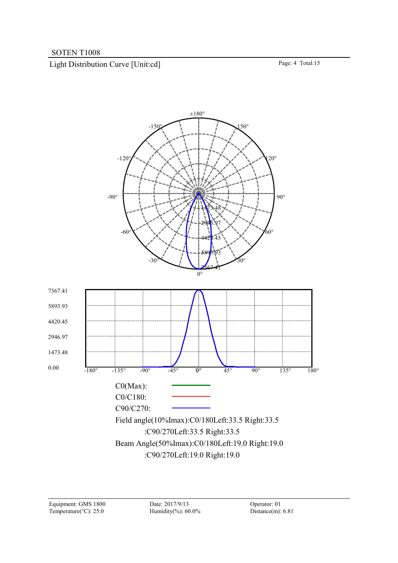Light Distribution Curve [Unit:cd] Page: 4 Total:15

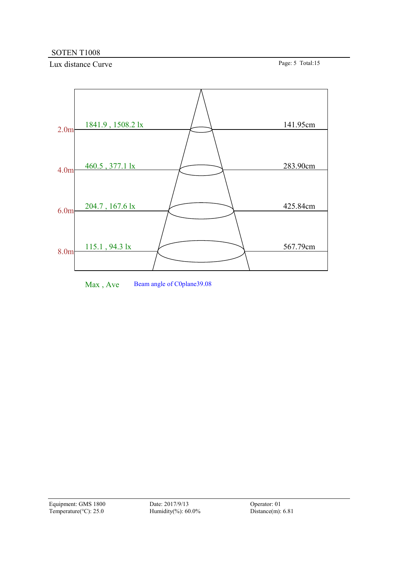Lux distance Curve Page: 5 Total:15



Max, Ave Beam angle of C0plane39.08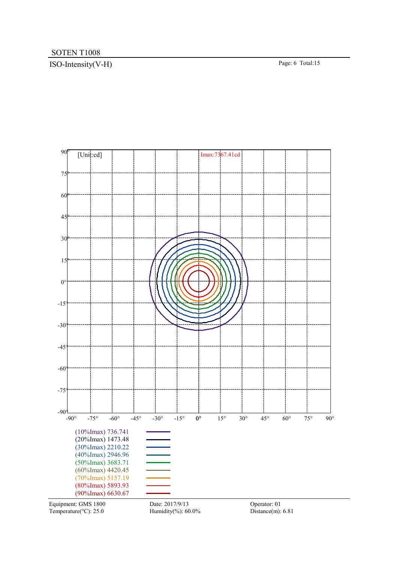# ISO-Intensity(V-H) Page: 6 Total:15



Temperature( $°C$ ): 25.0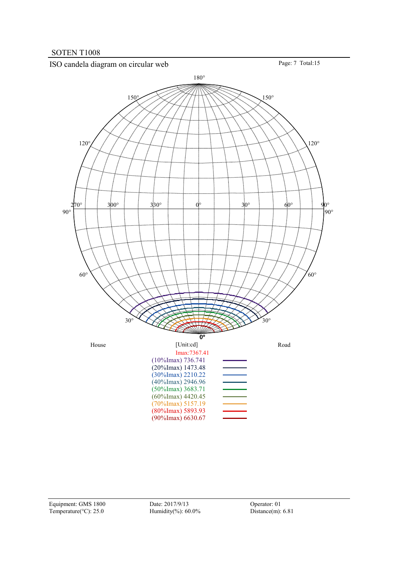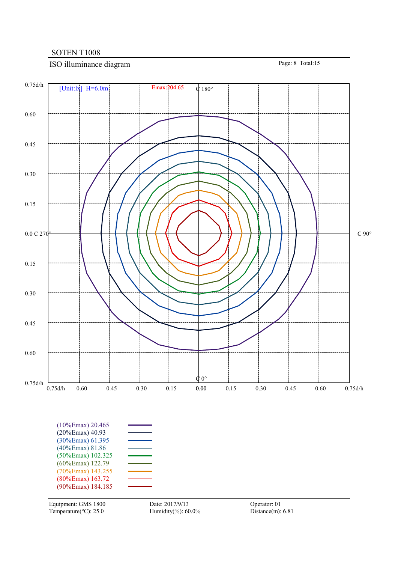# ISO illuminance diagram Page: 8 Total:15

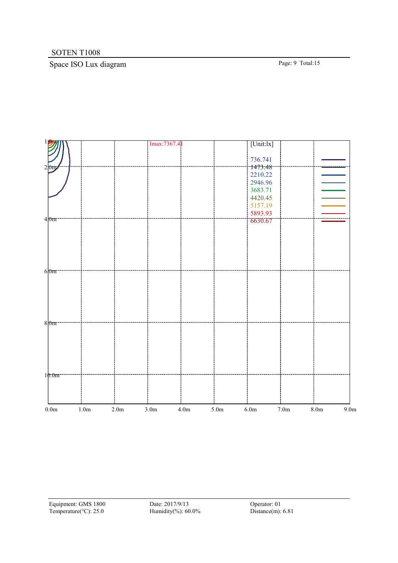# Space ISO Lux diagram Page: 9 Total:15

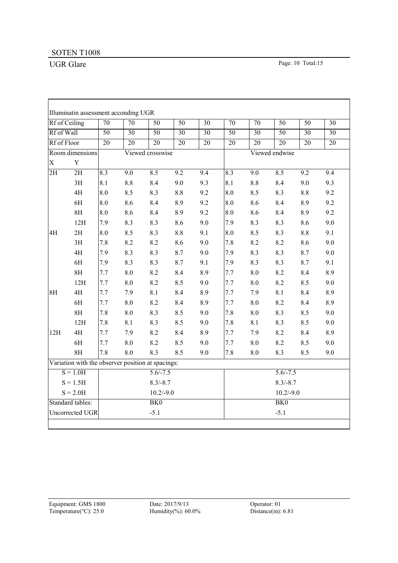r

┑

|                                                                                         | Rf of Ceiling                                     | $\overline{70}$ | $\overline{70}$ | $\overline{50}$       | $\overline{50}$ | $\overline{30}$ | $\overline{70}$ | $\overline{70}$    | $\overline{50}$ | $\overline{50}$ | $\overline{30}$ |  |
|-----------------------------------------------------------------------------------------|---------------------------------------------------|-----------------|-----------------|-----------------------|-----------------|-----------------|-----------------|--------------------|-----------------|-----------------|-----------------|--|
| Rf of Wall                                                                              |                                                   | $\overline{50}$ | $\overline{30}$ | $\overline{50}$       | $\overline{30}$ | $\overline{30}$ | $\overline{50}$ | $\overline{30}$    | $\overline{50}$ | $\overline{30}$ | $\overline{30}$ |  |
| Rf of Floor<br>$\overline{20}$<br>$\overline{20}$<br>$\overline{20}$<br>$\overline{20}$ |                                                   |                 |                 |                       | $\overline{20}$ | $\overline{20}$ | $\overline{20}$ | $\overline{20}$    | $\overline{20}$ | $\overline{20}$ |                 |  |
|                                                                                         | Room dimensions                                   |                 |                 | Viewed crosswise      |                 |                 |                 |                    | Viewed endwise  |                 |                 |  |
| $\mathbf X$                                                                             | Y                                                 |                 |                 |                       |                 |                 |                 |                    |                 |                 |                 |  |
| $\overline{2H}$                                                                         | 2H                                                | 8.3             | 9.0             | 8.5                   | 9.2             | 9.4             | 8.3             | $\overline{9.0}$   | 8.5             | 9.2             | 9.4             |  |
|                                                                                         | 3H                                                | 8.1             | 8.8             | 8.4                   | 9.0             | 9.3             | 8.1             | 8.8                | 8.4             | 9.0             | 9.3             |  |
|                                                                                         | 4H                                                | 8.0             | 8.5             | 8.3                   | 8.8             | 9.2             | 8.0             | 8.5                | 8.3             | 8.8             | 9.2             |  |
|                                                                                         | 6H                                                | 8.0             | 8.6             | 8.4                   | 8.9             | 9.2             | 8.0             | 8.6                | 8.4             | 8.9             | 9.2             |  |
|                                                                                         | 8H                                                | 8.0             | 8.6             | 8.4                   | 8.9             | 9.2             | 8.0             | 8.6                | 8.4             | 8.9             | 9.2             |  |
|                                                                                         | 12H                                               | 7.9             | 8.3             | 8.3                   | 8.6             | 9.0             | 7.9             | 8.3                | 8.3             | 8.6             | 9.0             |  |
| 4H                                                                                      | 2H                                                | 8.0             | 8.5             | 8.3                   | 8.8             | 9.1             | 8.0             | 8.5                | 8.3             | $8.8\,$         | 9.1             |  |
|                                                                                         | 3H                                                | 7.8             | 8.2             | 8.2                   | 8.6             | 9.0             | 7.8             | 8.2                | 8.2             | 8.6             | 9.0             |  |
|                                                                                         | 4H                                                | 7.9             | 8.3             | 8.3                   | 8.7             | 9.0             | 7.9             | 8.3                | 8.3             | 8.7             | 9.0             |  |
|                                                                                         | 6H                                                | 7.9             | 8.3             | 8.3                   | 8.7             | 9.1             | 7.9             | 8.3                | 8.3             | 8.7             | 9.1             |  |
|                                                                                         | 8H                                                | 7.7             | 8.0             | 8.2                   | 8.4             | 8.9             | 7.7             | 8.0                | 8.2             | 8.4             | 8.9             |  |
|                                                                                         | 12H                                               | 7.7             | 8.0             | 8.2                   | 8.5             | 9.0             | 7.7             | 8.0                | 8.2             | 8.5             | 9.0             |  |
| 8H                                                                                      | 4H                                                | 7.7             | 7.9             | 8.1                   | 8.4             | 8.9             | 7.7             | 7.9                | 8.1             | 8.4             | 8.9             |  |
|                                                                                         | 6H                                                | 7.7             | 8.0             | 8.2                   | 8.4             | 8.9             | 7.7             | 8.0                | 8.2             | 8.4             | 8.9             |  |
|                                                                                         | 8H                                                | 7.8             | $8.0\,$         | 8.3                   | 8.5             | 9.0             | 7.8             | $\boldsymbol{8.0}$ | 8.3             | 8.5             | 9.0             |  |
|                                                                                         | 12H                                               | 7.8             | 8.1             | 8.3                   | 8.5             | 9.0             | 7.8             | 8.1                | 8.3             | 8.5             | 9.0             |  |
| 12H                                                                                     | 4H                                                | 7.7             | 7.9             | 8.2                   | 8.4             | 8.9             | 7.7             | 7.9                | 8.2             | 8.4             | 8.9             |  |
|                                                                                         | 6H                                                | 7.7             | 8.0             | 8.2                   | 8.5             | 9.0             | 7.7             | 8.0                | 8.2             | 8.5             | 9.0             |  |
|                                                                                         | 8H                                                | 7.8             | 8.0             | 8.3                   | 8.5             | 9.0             | 7.8             | $8.0\,$            | 8.3             | 8.5             | 9.0             |  |
|                                                                                         | Variation with the observer position at spacings: |                 |                 |                       |                 |                 |                 |                    |                 |                 |                 |  |
|                                                                                         | $S = 1.0H$                                        |                 |                 | $\overline{5.6/-7.5}$ |                 |                 |                 |                    | $5.6/-7.5$      |                 |                 |  |
|                                                                                         | $S = 1.5H$                                        |                 |                 | $8.3/-8.7$            |                 |                 |                 |                    | $8.3/-8.7$      |                 |                 |  |
|                                                                                         | $S = 2.0H$                                        |                 |                 | $10.2/-9.0$           |                 |                 |                 |                    | $10.2/-9.0$     |                 |                 |  |
|                                                                                         | Standard tables:                                  |                 |                 | BK <sub>0</sub>       |                 |                 |                 |                    | BK <sub>0</sub> |                 |                 |  |
|                                                                                         | Uncorrected UGR                                   |                 |                 | $-5.1$                |                 |                 |                 |                    | $-5.1$          |                 |                 |  |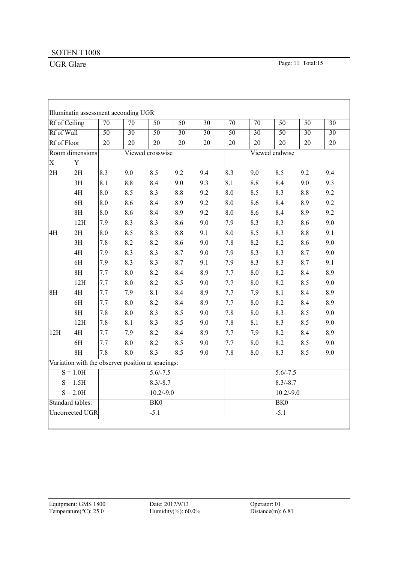$\overline{1}$ 

|                | Rf of Ceiling                                     | $\overline{70}$  | $\overline{70}$  | 50               | $\overline{50}$  | $\overline{30}$ | $\overline{70}$ | $\overline{70}$  | $\overline{50}$ | $\overline{50}$  | $\overline{30}$ |  |  |  |
|----------------|---------------------------------------------------|------------------|------------------|------------------|------------------|-----------------|-----------------|------------------|-----------------|------------------|-----------------|--|--|--|
|                | Rf of Wall                                        |                  | $\overline{30}$  | $\overline{50}$  | $\overline{30}$  | $\overline{30}$ | $\overline{50}$ | $\overline{30}$  | $\overline{50}$ | $\overline{30}$  | $\overline{30}$ |  |  |  |
| Rf of Floor    |                                                   | $\overline{20}$  | $\overline{20}$  | $\overline{20}$  | $\overline{20}$  | $\overline{20}$ | $\overline{20}$ | $\overline{20}$  | $\overline{20}$ | $\overline{20}$  | $\overline{20}$ |  |  |  |
|                | Room dimensions                                   |                  |                  | Viewed crosswise |                  |                 |                 |                  | Viewed endwise  |                  |                 |  |  |  |
| $\overline{X}$ | $\mathbf Y$                                       |                  |                  |                  |                  |                 |                 |                  |                 |                  |                 |  |  |  |
| 2H             | $\overline{2H}$                                   | $\overline{8.3}$ | $\overline{9.0}$ | 8.5              | $\overline{9.2}$ | 9.4             | 8.3             | $\overline{9.0}$ | 8.5             | $\overline{9.2}$ | 9.4             |  |  |  |
|                | 3H                                                | 8.1              | 8.8              | 8.4              | 9.0              | 9.3             | 8.1             | 8.8              | 8.4             | 9.0              | 9.3             |  |  |  |
|                | 4H                                                | 8.0              | 8.5              | 8.3              | 8.8              | 9.2             | 8.0             | 8.5              | 8.3             | 8.8              | 9.2             |  |  |  |
|                | 6H                                                | 8.0              | 8.6              | 8.4              | 8.9              | 9.2             | 8.0             | 8.6              | 8.4             | 8.9              | 9.2             |  |  |  |
|                | 8H                                                | 8.0              | 8.6              | 8.4              | 8.9              | 9.2             | 8.0             | 8.6              | 8.4             | 8.9              | 9.2             |  |  |  |
|                | 12H                                               | 7.9              | 8.3              | 8.3              | 8.6              | 9.0             | 7.9             | 8.3              | 8.3             | 8.6              | 9.0             |  |  |  |
| 4H             | 2H                                                | 8.0              | 8.5              | 8.3              | $8.8\,$          | 9.1             | 8.0             | 8.5              | 8.3             | 8.8              | 9.1             |  |  |  |
|                | 3H                                                | 7.8              | 8.2              | 8.2              | 8.6              | 9.0             | 7.8             | 8.2              | 8.2             | 8.6              | 9.0             |  |  |  |
|                | 4H                                                | 7.9              | 8.3              | 8.3              | 8.7              | 9.0             | 7.9             | 8.3              | 8.3             | 8.7              | 9.0             |  |  |  |
|                | 6H                                                | 7.9              | 8.3              | 8.3              | 8.7              | 9.1             | 7.9             | 8.3              | 8.3             | 8.7              | 9.1             |  |  |  |
|                | 8H                                                | 7.7              | 8.0              | 8.2              | 8.4              | 8.9             | 7.7             | 8.0              | 8.2             | 8.4              | 8.9             |  |  |  |
|                | 12H                                               | 7.7              | $8.0\,$          | 8.2              | 8.5              | 9.0             | 7.7             | 8.0              | 8.2             | 8.5              | 9.0             |  |  |  |
| 8H             | 4H                                                | 7.7              | 7.9              | 8.1              | 8.4              | 8.9             | 7.7             | 7.9              | 8.1             | 8.4              | 8.9             |  |  |  |
|                | 6H                                                | 7.7              | 8.0              | 8.2              | 8.4              | 8.9             | 7.7             | 8.0              | 8.2             | 8.4              | 8.9             |  |  |  |
|                | 8H                                                | 7.8              | $8.0\,$          | 8.3              | 8.5              | 9.0             | 7.8             | 8.0              | 8.3             | 8.5              | 9.0             |  |  |  |
|                | 12H                                               | 7.8              | 8.1              | 8.3              | 8.5              | 9.0             | 7.8             | 8.1              | 8.3             | 8.5              | 9.0             |  |  |  |
| 12H            | 4H                                                | 7.7              | 7.9              | 8.2              | 8.4              | 8.9             | 7.7             | 7.9              | 8.2             | 8.4              | 8.9             |  |  |  |
|                | 6H                                                | 7.7              | $8.0\,$          | 8.2              | 8.5              | 9.0             | 7.7             | 8.0              | 8.2             | 8.5              | 9.0             |  |  |  |
|                | 8H                                                | 7.8              | 8.0              | 8.3              | 8.5              | 9.0             | 7.8             | 8.0              | 8.3             | 8.5              | 9.0             |  |  |  |
|                | Variation with the observer position at spacings: |                  |                  |                  |                  |                 |                 |                  |                 |                  |                 |  |  |  |
|                | $S = 1.0H$                                        |                  |                  | $5.6/-7.5$       |                  |                 |                 |                  | $5.6/-7.5$      |                  |                 |  |  |  |
|                | $S = 1.5H$                                        |                  |                  | $8.3/-8.7$       |                  |                 | $8.3/-8.7$      |                  |                 |                  |                 |  |  |  |
|                | $S = 2.0H$                                        |                  |                  | $10.2/-9.0$      |                  |                 |                 |                  | $10.2/-9.0$     |                  |                 |  |  |  |
|                | Standard tables:                                  |                  |                  | BK <sub>0</sub>  |                  |                 |                 |                  | BK <sub>0</sub> |                  |                 |  |  |  |
|                | Uncorrected UGR                                   |                  |                  | $-5.1$           |                  |                 |                 |                  | $-5.1$          |                  |                 |  |  |  |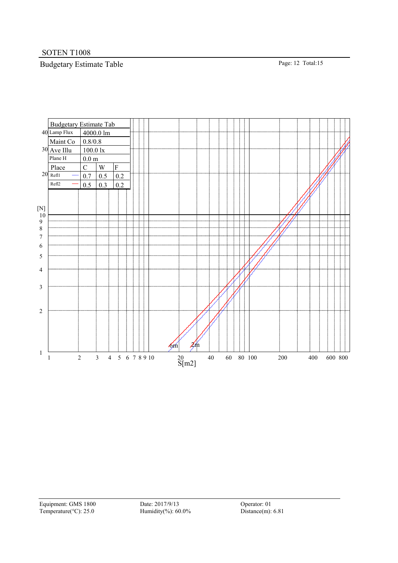# Budgetary Estimate Table Page: 12 Total:15



Equipment: GMS 1800 Date: 2017/9/13 Operator: 01<br>
Temperature(°C): 25.0 Humidity(%): 60.0% Distance(m): 6.81 Temperature( $^{\circ}$ C): 25.0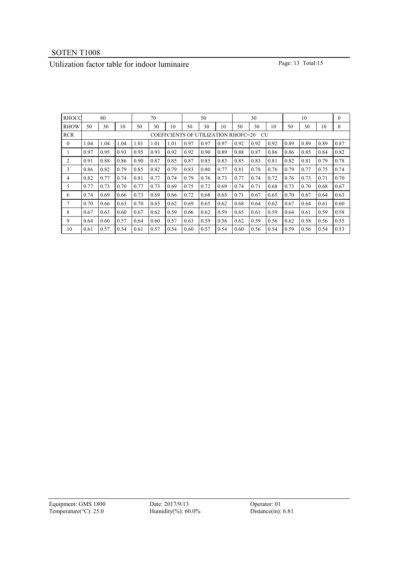# Utilization factor table for indoor luminaire Page: 13 Total:15

| <b>RHOCC</b><br>80 |                                           |      | 70   |      |      | 50   |      |      | 30   |      |      | 10   |      |      | $\theta$ |              |
|--------------------|-------------------------------------------|------|------|------|------|------|------|------|------|------|------|------|------|------|----------|--------------|
| <b>RHOW</b>        | 50                                        | 30   | 10   | 50   | 30   | 10   | 50   | 30   | 10   | 50   | 30   | 10   | 50   | 30   | 10       | $\mathbf{0}$ |
| <b>RCR</b>         | COEFFCIENTS OF UTILIZATION RHOFC=20<br>CU |      |      |      |      |      |      |      |      |      |      |      |      |      |          |              |
| $\mathbf{0}$       | 1.04                                      | 1.04 | 1.04 | 1.01 | 1.01 | 1.01 | 0.97 | 0.97 | 0.97 | 0.92 | 0.92 | 0.92 | 0.89 | 0.89 | 0.89     | 0.87         |
|                    | 0.97                                      | 0.95 | 0.93 | 0.95 | 0.93 | 0.92 | 0.92 | 0.90 | 0.89 | 0.88 | 0.87 | 0.86 | 0.86 | 0.85 | 0.84     | 0.82         |
| 2                  | 0.91                                      | 0.88 | 0.86 | 0.90 | 0.87 | 0.85 | 0.87 | 0.85 | 0.83 | 0.85 | 0.83 | 0.81 | 0.82 | 0.81 | 0.79     | 0.78         |
| 3                  | 0.86                                      | 0.82 | 0.79 | 0.85 | 0.82 | 0.79 | 0.83 | 0.80 | 0.77 | 0.81 | 0.78 | 0.76 | 0.79 | 0.77 | 0.75     | 0.74         |
| 4                  | 0.82                                      | 0.77 | 0.74 | 0.81 | 0.77 | 0.74 | 0.79 | 0.76 | 0.73 | 0.77 | 0.74 | 0.72 | 0.76 | 0.73 | 0.71     | 0.70         |
| 5                  | 0.77                                      | 0.73 | 0.70 | 0.77 | 0.73 | 0.69 | 0.75 | 0.72 | 0.69 | 0.74 | 0.71 | 0.68 | 0.73 | 0.70 | 0.68     | 0.67         |
| 6                  | 0.74                                      | 0.69 | 0.66 | 0.73 | 0.69 | 0.66 | 0.72 | 0.68 | 0.65 | 0.71 | 0.67 | 0.65 | 0.70 | 0.67 | 0.64     | 0.63         |
| 7                  | 0.70                                      | 0.66 | 0.63 | 0.70 | 0.65 | 0.62 | 0.69 | 0.65 | 0.62 | 0.68 | 0.64 | 0.62 | 0.67 | 0.64 | 0.61     | 0.60         |
| 8                  | 0.67                                      | 0.63 | 0.60 | 0.67 | 0.62 | 0.59 | 0.66 | 0.62 | 0.59 | 0.65 | 0.61 | 0.59 | 0.64 | 0.61 | 0.59     | 0.58         |
| 9                  | 0.64                                      | 0.60 | 0.57 | 0.64 | 0.60 | 0.57 | 0.63 | 0.59 | 0.56 | 0.62 | 0.59 | 0.56 | 0.62 | 0.58 | 0.56     | 0.55         |
| 10                 | 0.61                                      | 0.57 | 0.54 | 0.61 | 0.57 | 0.54 | 0.60 | 0.57 | 0.54 | 0.60 | 0.56 | 0.54 | 0.59 | 0.56 | 0.54     | 0.53         |